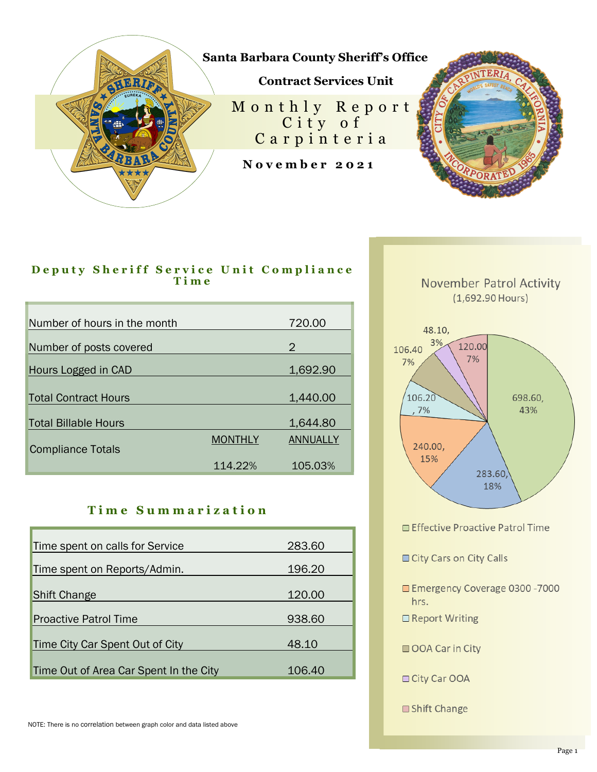

## D e puty Sheriff Service Unit Compliance **T i m e**

| Number of hours in the month |                | 720.00   |
|------------------------------|----------------|----------|
| Number of posts covered      |                | 2        |
| Hours Logged in CAD          |                | 1,692.90 |
| <b>Total Contract Hours</b>  |                | 1,440.00 |
| <b>Total Billable Hours</b>  |                | 1,644.80 |
| <b>Compliance Totals</b>     | <b>MONTHLY</b> | ANNUALLY |
|                              | 114.22%        | 105.03%  |

## **T i m e S u m m a r i z a t i o n**

| Time spent on calls for Service        | 283.60 |
|----------------------------------------|--------|
| Time spent on Reports/Admin.           | 196.20 |
| <b>Shift Change</b>                    | 120.00 |
| <b>Proactive Patrol Time</b>           | 938.60 |
| Time City Car Spent Out of City        | 48.10  |
| Time Out of Area Car Spent In the City | 106.40 |



283.60 18%

Effective Proactive Patrol Time

- City Cars on City Calls
- Emergency Coverage 0300 7000 hrs.
- □ Report Writing
- OOA Car in City
- □ City Car OOA
- □ Shift Change